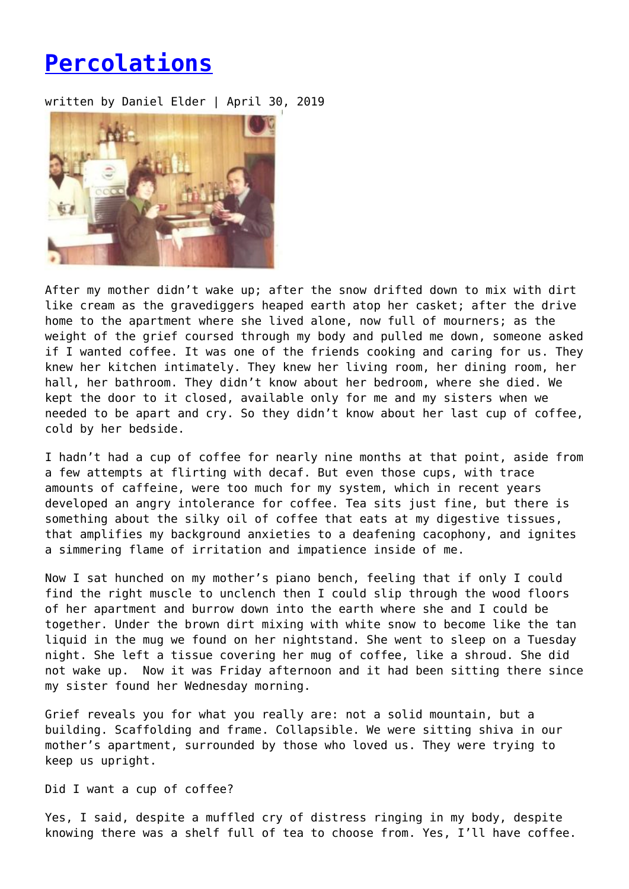## **[Percolations](https://entropymag.org/percolations/)**

written by Daniel Elder | April 30, 2019



After my mother didn't wake up; after the snow drifted down to mix with dirt like cream as the gravediggers heaped earth atop her casket; after the drive home to the apartment where she lived alone, now full of mourners; as the weight of the grief coursed through my body and pulled me down, someone asked if I wanted coffee. It was one of the friends cooking and caring for us. They knew her kitchen intimately. They knew her living room, her dining room, her hall, her bathroom. They didn't know about her bedroom, where she died. We kept the door to it closed, available only for me and my sisters when we needed to be apart and cry. So they didn't know about her last cup of coffee, cold by her bedside.

I hadn't had a cup of coffee for nearly nine months at that point, aside from a few attempts at flirting with decaf. But even those cups, with trace amounts of caffeine, were too much for my system, which in recent years developed an angry intolerance for coffee. Tea sits just fine, but there is something about the silky oil of coffee that eats at my digestive tissues, that amplifies my background anxieties to a deafening cacophony, and ignites a simmering flame of irritation and impatience inside of me.

Now I sat hunched on my mother's piano bench, feeling that if only I could find the right muscle to unclench then I could slip through the wood floors of her apartment and burrow down into the earth where she and I could be together. Under the brown dirt mixing with white snow to become like the tan liquid in the mug we found on her nightstand. She went to sleep on a Tuesday night. She left a tissue covering her mug of coffee, like a shroud. She did not wake up. Now it was Friday afternoon and it had been sitting there since my sister found her Wednesday morning.

Grief reveals you for what you really are: not a solid mountain, but a building. Scaffolding and frame. Collapsible. We were sitting shiva in our mother's apartment, surrounded by those who loved us. They were trying to keep us upright.

Did I want a cup of coffee?

Yes, I said, despite a muffled cry of distress ringing in my body, despite knowing there was a shelf full of tea to choose from. Yes, I'll have coffee.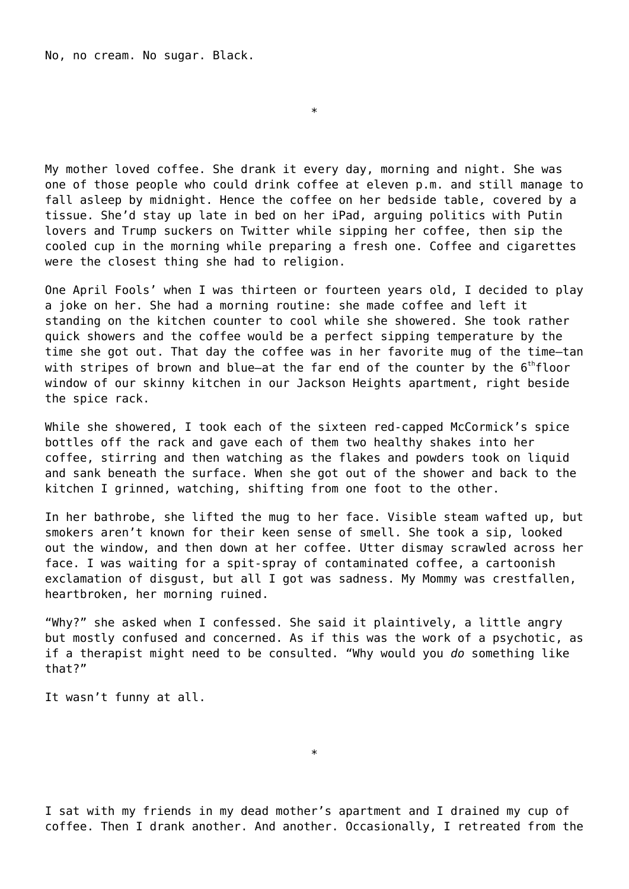No, no cream. No sugar. Black.

My mother loved coffee. She drank it every day, morning and night. She was one of those people who could drink coffee at eleven p.m. and still manage to fall asleep by midnight. Hence the coffee on her bedside table, covered by a tissue. She'd stay up late in bed on her iPad, arguing politics with Putin lovers and Trump suckers on Twitter while sipping her coffee, then sip the cooled cup in the morning while preparing a fresh one. Coffee and cigarettes were the closest thing she had to religion.

\*

One April Fools' when I was thirteen or fourteen years old, I decided to play a joke on her. She had a morning routine: she made coffee and left it standing on the kitchen counter to cool while she showered. She took rather quick showers and the coffee would be a perfect sipping temperature by the time she got out. That day the coffee was in her favorite mug of the time—tan with stripes of brown and blue-at the far end of the counter by the 6<sup>th</sup>floor window of our skinny kitchen in our Jackson Heights apartment, right beside the spice rack.

While she showered, I took each of the sixteen red-capped McCormick's spice bottles off the rack and gave each of them two healthy shakes into her coffee, stirring and then watching as the flakes and powders took on liquid and sank beneath the surface. When she got out of the shower and back to the kitchen I grinned, watching, shifting from one foot to the other.

In her bathrobe, she lifted the mug to her face. Visible steam wafted up, but smokers aren't known for their keen sense of smell. She took a sip, looked out the window, and then down at her coffee. Utter dismay scrawled across her face. I was waiting for a spit-spray of contaminated coffee, a cartoonish exclamation of disgust, but all I got was sadness. My Mommy was crestfallen, heartbroken, her morning ruined.

"Why?" she asked when I confessed. She said it plaintively, a little angry but mostly confused and concerned. As if this was the work of a psychotic, as if a therapist might need to be consulted. "Why would you *do* something like that?"

It wasn't funny at all.

I sat with my friends in my dead mother's apartment and I drained my cup of coffee. Then I drank another. And another. Occasionally, I retreated from the

\*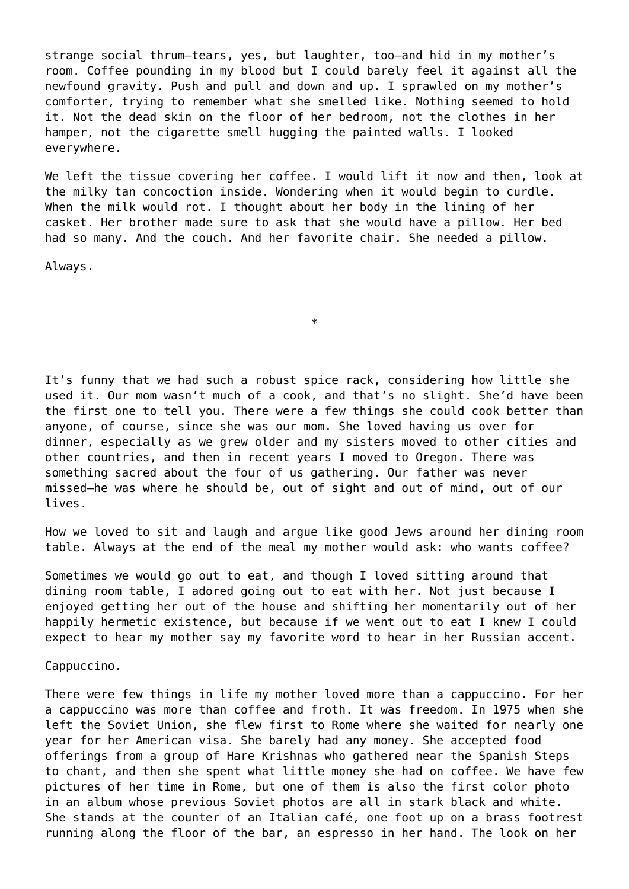strange social thrum—tears, yes, but laughter, too—and hid in my mother's room. Coffee pounding in my blood but I could barely feel it against all the newfound gravity. Push and pull and down and up. I sprawled on my mother's comforter, trying to remember what she smelled like. Nothing seemed to hold it. Not the dead skin on the floor of her bedroom, not the clothes in her hamper, not the cigarette smell hugging the painted walls. I looked everywhere.

We left the tissue covering her coffee. I would lift it now and then, look at the milky tan concoction inside. Wondering when it would begin to curdle. When the milk would rot. I thought about her body in the lining of her casket. Her brother made sure to ask that she would have a pillow. Her bed had so many. And the couch. And her favorite chair. She needed a pillow.

\*

Always.

It's funny that we had such a robust spice rack, considering how little she used it. Our mom wasn't much of a cook, and that's no slight. She'd have been the first one to tell you. There were a few things she could cook better than anyone, of course, since she was our mom. She loved having us over for dinner, especially as we grew older and my sisters moved to other cities and other countries, and then in recent years I moved to Oregon. There was something sacred about the four of us gathering. Our father was never missed—he was where he should be, out of sight and out of mind, out of our lives.

How we loved to sit and laugh and argue like good Jews around her dining room table. Always at the end of the meal my mother would ask: who wants coffee?

Sometimes we would go out to eat, and though I loved sitting around that dining room table, I adored going out to eat with her. Not just because I enjoyed getting her out of the house and shifting her momentarily out of her happily hermetic existence, but because if we went out to eat I knew I could expect to hear my mother say my favorite word to hear in her Russian accent.

Cappuccino.

There were few things in life my mother loved more than a cappuccino. For her a cappuccino was more than coffee and froth. It was freedom. In 1975 when she left the Soviet Union, she flew first to Rome where she waited for nearly one year for her American visa. She barely had any money. She accepted food offerings from a group of Hare Krishnas who gathered near the Spanish Steps to chant, and then she spent what little money she had on coffee. We have few pictures of her time in Rome, but one of them is also the first color photo in an album whose previous Soviet photos are all in stark black and white. She stands at the counter of an Italian café, one foot up on a brass footrest running along the floor of the bar, an espresso in her hand. The look on her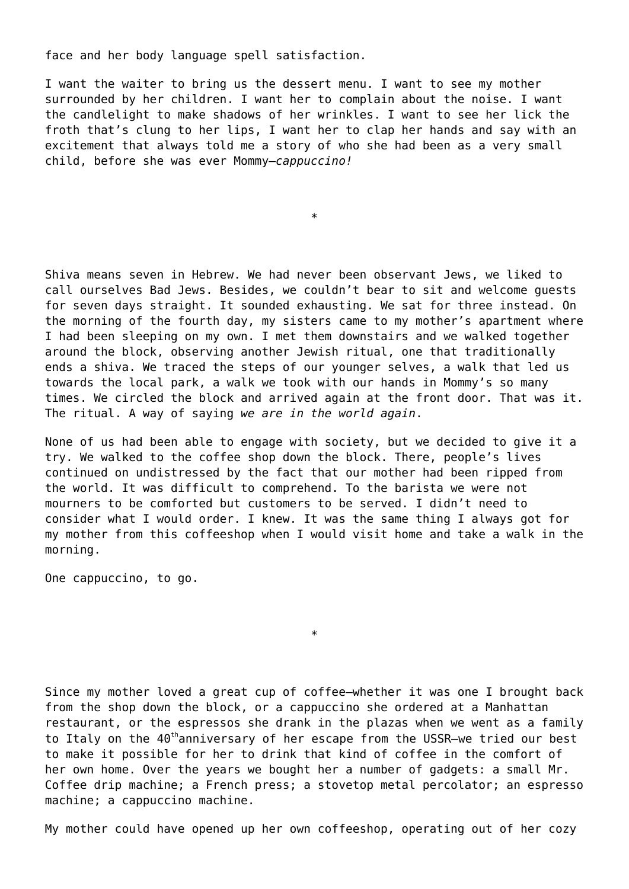face and her body language spell satisfaction.

I want the waiter to bring us the dessert menu. I want to see my mother surrounded by her children. I want her to complain about the noise. I want the candlelight to make shadows of her wrinkles. I want to see her lick the froth that's clung to her lips, I want her to clap her hands and say with an excitement that always told me a story of who she had been as a very small child, before she was ever Mommy—*cappuccino!*

\*

Shiva means seven in Hebrew. We had never been observant Jews, we liked to call ourselves Bad Jews. Besides, we couldn't bear to sit and welcome guests for seven days straight. It sounded exhausting. We sat for three instead. On the morning of the fourth day, my sisters came to my mother's apartment where I had been sleeping on my own. I met them downstairs and we walked together around the block, observing another Jewish ritual, one that traditionally ends a shiva. We traced the steps of our younger selves, a walk that led us towards the local park, a walk we took with our hands in Mommy's so many times. We circled the block and arrived again at the front door. That was it. The ritual. A way of saying *we are in the world again*.

None of us had been able to engage with society, but we decided to give it a try. We walked to the coffee shop down the block. There, people's lives continued on undistressed by the fact that our mother had been ripped from the world. It was difficult to comprehend. To the barista we were not mourners to be comforted but customers to be served. I didn't need to consider what I would order. I knew. It was the same thing I always got for my mother from this coffeeshop when I would visit home and take a walk in the morning.

One cappuccino, to go.

Since my mother loved a great cup of coffee—whether it was one I brought back from the shop down the block, or a cappuccino she ordered at a Manhattan restaurant, or the espressos she drank in the plazas when we went as a family to Italy on the  $40<sup>th</sup>$ anniversary of her escape from the USSR-we tried our best to make it possible for her to drink that kind of coffee in the comfort of her own home. Over the years we bought her a number of gadgets: a small Mr. Coffee drip machine; a French press; a stovetop metal percolator; an espresso machine; a cappuccino machine.

\*

My mother could have opened up her own coffeeshop, operating out of her cozy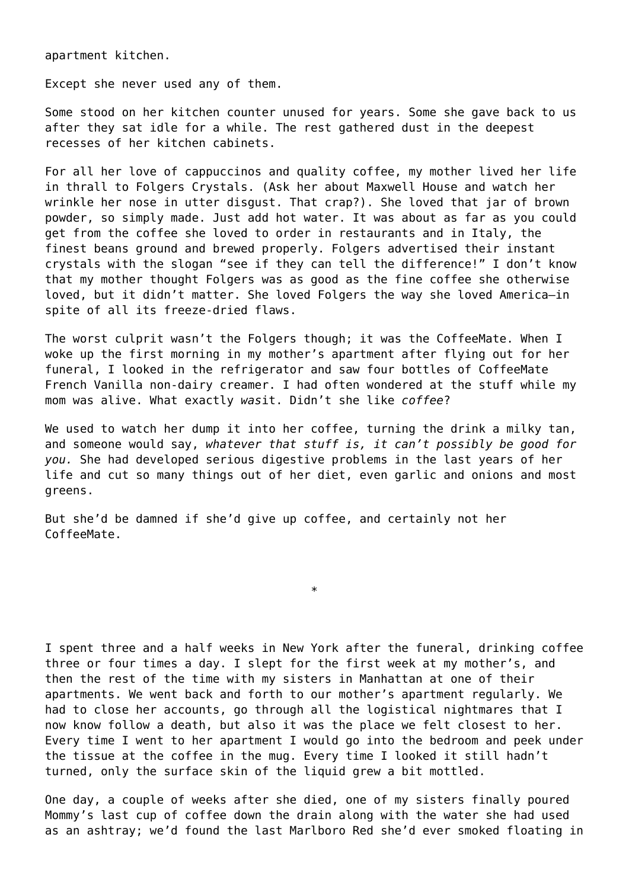apartment kitchen.

Except she never used any of them.

Some stood on her kitchen counter unused for years. Some she gave back to us after they sat idle for a while. The rest gathered dust in the deepest recesses of her kitchen cabinets.

For all her love of cappuccinos and quality coffee, my mother lived her life in thrall to Folgers Crystals. (Ask her about Maxwell House and watch her wrinkle her nose in utter disgust. That crap?). She loved that jar of brown powder, so simply made. Just add hot water. It was about as far as you could get from the coffee she loved to order in restaurants and in Italy, the finest beans ground and brewed properly. Folgers advertised their instant crystals with the slogan "see if they can tell the difference!" I don't know that my mother thought Folgers was as good as the fine coffee she otherwise loved, but it didn't matter. She loved Folgers the way she loved America—in spite of all its freeze-dried flaws.

The worst culprit wasn't the Folgers though; it was the CoffeeMate. When I woke up the first morning in my mother's apartment after flying out for her funeral, I looked in the refrigerator and saw four bottles of CoffeeMate French Vanilla non-dairy creamer. I had often wondered at the stuff while my mom was alive. What exactly *was*it. Didn't she like *coffee*?

We used to watch her dump it into her coffee, turning the drink a milky tan, and someone would say, *whatever that stuff is, it can't possibly be good for you.* She had developed serious digestive problems in the last years of her life and cut so many things out of her diet, even garlic and onions and most greens.

But she'd be damned if she'd give up coffee, and certainly not her CoffeeMate.

I spent three and a half weeks in New York after the funeral, drinking coffee three or four times a day. I slept for the first week at my mother's, and then the rest of the time with my sisters in Manhattan at one of their apartments. We went back and forth to our mother's apartment regularly. We had to close her accounts, go through all the logistical nightmares that I now know follow a death, but also it was the place we felt closest to her. Every time I went to her apartment I would go into the bedroom and peek under the tissue at the coffee in the mug. Every time I looked it still hadn't turned, only the surface skin of the liquid grew a bit mottled.

\*

One day, a couple of weeks after she died, one of my sisters finally poured Mommy's last cup of coffee down the drain along with the water she had used as an ashtray; we'd found the last Marlboro Red she'd ever smoked floating in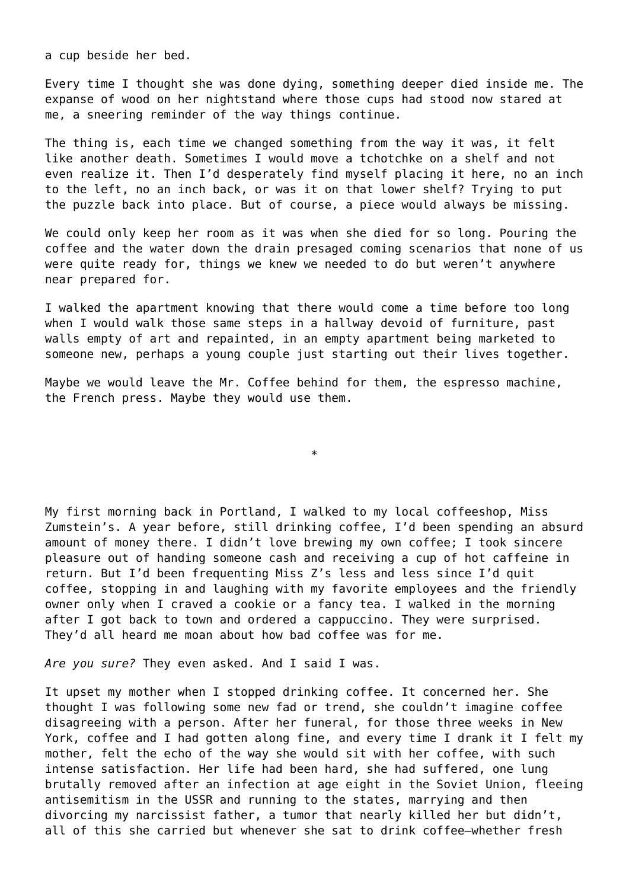a cup beside her bed.

Every time I thought she was done dying, something deeper died inside me. The expanse of wood on her nightstand where those cups had stood now stared at me, a sneering reminder of the way things continue.

The thing is, each time we changed something from the way it was, it felt like another death. Sometimes I would move a tchotchke on a shelf and not even realize it. Then I'd desperately find myself placing it here, no an inch to the left, no an inch back, or was it on that lower shelf? Trying to put the puzzle back into place. But of course, a piece would always be missing.

We could only keep her room as it was when she died for so long. Pouring the coffee and the water down the drain presaged coming scenarios that none of us were quite ready for, things we knew we needed to do but weren't anywhere near prepared for.

I walked the apartment knowing that there would come a time before too long when I would walk those same steps in a hallway devoid of furniture, past walls empty of art and repainted, in an empty apartment being marketed to someone new, perhaps a young couple just starting out their lives together.

Maybe we would leave the Mr. Coffee behind for them, the espresso machine, the French press. Maybe they would use them.

\*

My first morning back in Portland, I walked to my local coffeeshop, Miss Zumstein's. A year before, still drinking coffee, I'd been spending an absurd amount of money there. I didn't love brewing my own coffee; I took sincere pleasure out of handing someone cash and receiving a cup of hot caffeine in return. But I'd been frequenting Miss Z's less and less since I'd quit coffee, stopping in and laughing with my favorite employees and the friendly owner only when I craved a cookie or a fancy tea. I walked in the morning after I got back to town and ordered a cappuccino. They were surprised. They'd all heard me moan about how bad coffee was for me.

*Are you sure?* They even asked. And I said I was.

It upset my mother when I stopped drinking coffee. It concerned her. She thought I was following some new fad or trend, she couldn't imagine coffee disagreeing with a person. After her funeral, for those three weeks in New York, coffee and I had gotten along fine, and every time I drank it I felt my mother, felt the echo of the way she would sit with her coffee, with such intense satisfaction. Her life had been hard, she had suffered, one lung brutally removed after an infection at age eight in the Soviet Union, fleeing antisemitism in the USSR and running to the states, marrying and then divorcing my narcissist father, a tumor that nearly killed her but didn't, all of this she carried but whenever she sat to drink coffee—whether fresh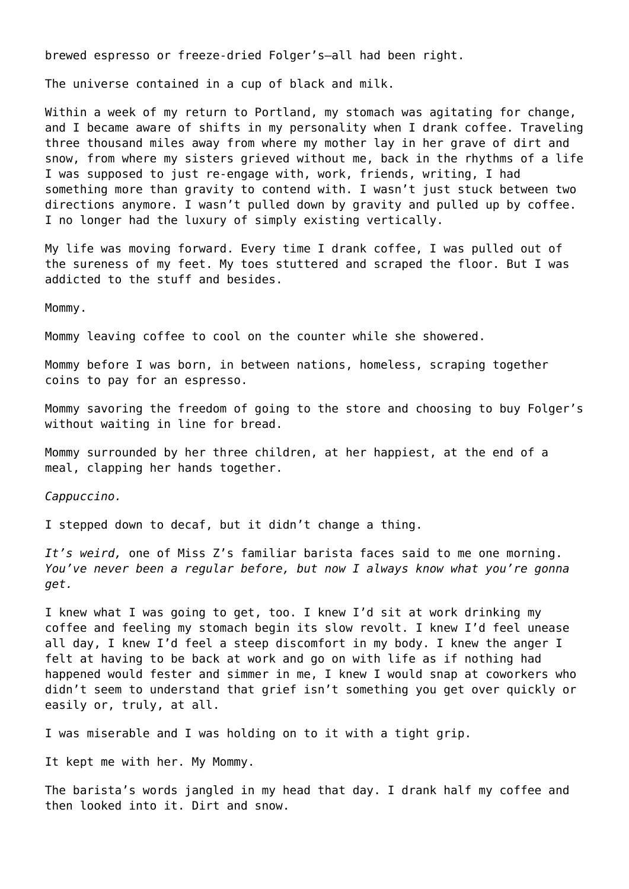brewed espresso or freeze-dried Folger's—all had been right.

The universe contained in a cup of black and milk.

Within a week of my return to Portland, my stomach was agitating for change, and I became aware of shifts in my personality when I drank coffee. Traveling three thousand miles away from where my mother lay in her grave of dirt and snow, from where my sisters grieved without me, back in the rhythms of a life I was supposed to just re-engage with, work, friends, writing, I had something more than gravity to contend with. I wasn't just stuck between two directions anymore. I wasn't pulled down by gravity and pulled up by coffee. I no longer had the luxury of simply existing vertically.

My life was moving forward. Every time I drank coffee, I was pulled out of the sureness of my feet. My toes stuttered and scraped the floor. But I was addicted to the stuff and besides.

Mommy.

Mommy leaving coffee to cool on the counter while she showered.

Mommy before I was born, in between nations, homeless, scraping together coins to pay for an espresso.

Mommy savoring the freedom of going to the store and choosing to buy Folger's without waiting in line for bread.

Mommy surrounded by her three children, at her happiest, at the end of a meal, clapping her hands together.

*Cappuccino.*

I stepped down to decaf, but it didn't change a thing.

*It's weird,* one of Miss Z's familiar barista faces said to me one morning. *You've never been a regular before, but now I always know what you're gonna get.*

I knew what I was going to get, too. I knew I'd sit at work drinking my coffee and feeling my stomach begin its slow revolt. I knew I'd feel unease all day, I knew I'd feel a steep discomfort in my body. I knew the anger I felt at having to be back at work and go on with life as if nothing had happened would fester and simmer in me, I knew I would snap at coworkers who didn't seem to understand that grief isn't something you get over quickly or easily or, truly, at all.

I was miserable and I was holding on to it with a tight grip.

It kept me with her. My Mommy.

The barista's words jangled in my head that day. I drank half my coffee and then looked into it. Dirt and snow.